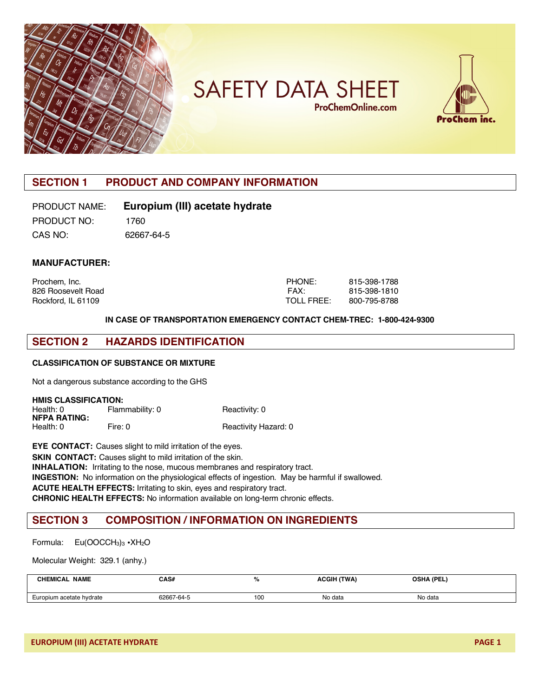

# **SAFETY DATA SHEET ProChemOnline.com**



## **SECTION 1 PRODUCT AND COMPANY INFORMATION**

PRODUCT NAME: **Europium (III) acetate hydrate** PRODUCT NO: 1760 CAS NO: 62667-64-5

#### **MANUFACTURER:**

Rockford, IL 61109

Prochem, Inc. 2008. 2010. 2010. 2010. 2010. 2010. 2010. 2010. 2010. 2010. 2010. 2010. 2010. 2010. 2010. 2010. 2010. 2010. 2010. 2010. 2010. 2010. 2010. 2010. 2010. 2010. 2010. 2010. 2010. 2010. 2010. 2010. 2010. 2010. 2010 826 Roosevelt Road FAX: 815-398-1810

**IN CASE OF TRANSPORTATION EMERGENCY CONTACT CHEM-TREC: 1-800-424-9300**

#### **SECTION 2 HAZARDS IDENTIFICATION**

#### **CLASSIFICATION OF SUBSTANCE OR MIXTURE**

Not a dangerous substance according to the GHS

| <b>HMIS CLASSIFICATION:</b> |                 |                      |  |  |
|-----------------------------|-----------------|----------------------|--|--|
| Health: 0                   | Flammability: 0 | Reactivity: 0        |  |  |
| <b>NFPA RATING:</b>         |                 |                      |  |  |
| Health: 0                   | Fire: $0$       | Reactivity Hazard: 0 |  |  |

**EYE CONTACT:** Causes slight to mild irritation of the eyes. **SKIN CONTACT:** Causes slight to mild irritation of the skin. **INHALATION:** Irritating to the nose, mucous membranes and respiratory tract. **INGESTION:** No information on the physiological effects of ingestion. May be harmful if swallowed. **ACUTE HEALTH EFFECTS:** Irritating to skin, eyes and respiratory tract. **CHRONIC HEALTH EFFECTS:** No information available on long-term chronic effects.

# **SECTION 3 COMPOSITION / INFORMATION ON INGREDIENTS**

Formula: Eu(OOCCH<sub>3</sub>)<sub>3</sub> · XH<sub>2</sub>O

Molecular Weight: 329.1 (anhy.)

| <b>NAME</b><br><b>CHEMICAL</b> | CAS#       | O/  | <b>ACGIH (TWA)</b> | <b>OSHA (PEL)</b> |
|--------------------------------|------------|-----|--------------------|-------------------|
| Europium acetate hydrate       | 62667-64-5 | 100 | No data            | No data           |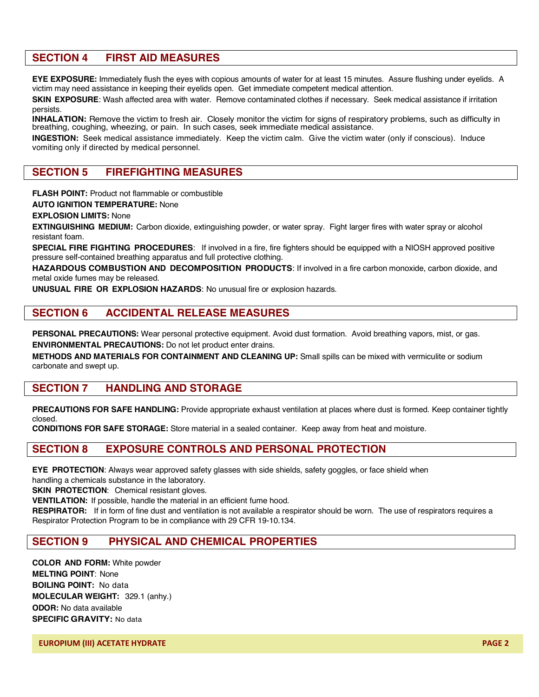## **SECTION 4 FIRST AID MEASURES**

**EYE EXPOSURE:** Immediately flush the eyes with copious amounts of water for at least 15 minutes. Assure flushing under eyelids. A victim may need assistance in keeping their eyelids open. Get immediate competent medical attention.

**SKIN EXPOSURE**: Wash affected area with water. Remove contaminated clothes if necessary. Seek medical assistance if irritation persists.

**INHALATION:** Remove the victim to fresh air. Closely monitor the victim for signs of respiratory problems, such as difficulty in breathing, coughing, wheezing, or pain. In such cases, seek immediate medical assistance.

**INGESTION:** Seek medical assistance immediately. Keep the victim calm. Give the victim water (only if conscious). Induce vomiting only if directed by medical personnel.

#### **SECTION 5 FIREFIGHTING MEASURES**

**FLASH POINT:** Product not flammable or combustible

**AUTO IGNITION TEMPERATURE:** None

**EXPLOSION LIMITS:** None

**EXTINGUISHING MEDIUM:** Carbon dioxide, extinguishing powder, or water spray. Fight larger fires with water spray or alcohol resistant foam.

**SPECIAL FIRE FIGHTING PROCEDURES**: If involved in a fire, fire fighters should be equipped with a NIOSH approved positive pressure self-contained breathing apparatus and full protective clothing.

**HAZARDOUS COMBUSTION AND DECOMPOSITION PRODUCTS**: If involved in a fire carbon monoxide, carbon dioxide, and metal oxide fumes may be released.

**UNUSUAL FIRE OR EXPLOSION HAZARDS**: No unusual fire or explosion hazards.

#### **SECTION 6 ACCIDENTAL RELEASE MEASURES**

**PERSONAL PRECAUTIONS:** Wear personal protective equipment. Avoid dust formation. Avoid breathing vapors, mist, or gas. **ENVIRONMENTAL PRECAUTIONS:** Do not let product enter drains.

**METHODS AND MATERIALS FOR CONTAINMENT AND CLEANING UP:** Small spills can be mixed with vermiculite or sodium carbonate and swept up.

#### **SECTION 7 HANDLING AND STORAGE**

**PRECAUTIONS FOR SAFE HANDLING:** Provide appropriate exhaust ventilation at places where dust is formed. Keep container tightly closed.

**CONDITIONS FOR SAFE STORAGE:** Store material in a sealed container. Keep away from heat and moisture.

#### **SECTION 8 EXPOSURE CONTROLS AND PERSONAL PROTECTION**

**EYE PROTECTION**: Always wear approved safety glasses with side shields, safety goggles, or face shield when

handling a chemicals substance in the laboratory.

**SKIN PROTECTION**: Chemical resistant gloves.

**VENTILATION:** If possible, handle the material in an efficient fume hood.

**RESPIRATOR:** If in form of fine dust and ventilation is not available a respirator should be worn. The use of respirators requires a Respirator Protection Program to be in compliance with 29 CFR 19-10.134.

#### **SECTION 9 PHYSICAL AND CHEMICAL PROPERTIES**

**COLOR AND FORM:** White powder **MELTING POINT**: None **BOILING POINT:** No data **MOLECULAR WEIGHT:** 329.1 (anhy.) **ODOR:** No data available **SPECIFIC GRAVITY:** No data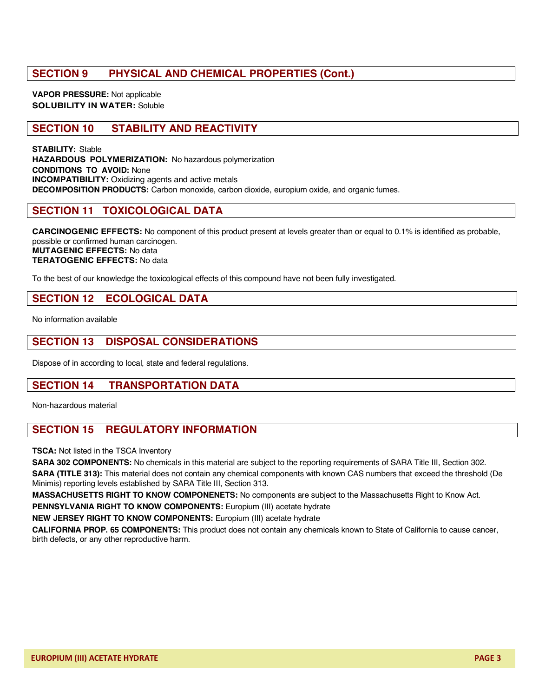## **SECTION 9 PHYSICAL AND CHEMICAL PROPERTIES (Cont.)**

**VAPOR PRESSURE:** Not applicable **SOLUBILITY IN WATER:** Soluble

## **SECTION 10 STABILITY AND REACTIVITY**

**STABILITY:** Stable **HAZARDOUS POLYMERIZATION:** No hazardous polymerization **CONDITIONS TO AVOID:** None **INCOMPATIBILITY:** Oxidizing agents and active metals **DECOMPOSITION PRODUCTS:** Carbon monoxide, carbon dioxide, europium oxide, and organic fumes.

### **SECTION 11 TOXICOLOGICAL DATA**

**CARCINOGENIC EFFECTS:** No component of this product present at levels greater than or equal to 0.1% is identified as probable, possible or confirmed human carcinogen. **MUTAGENIC EFFECTS:** No data **TERATOGENIC EFFECTS:** No data

To the best of our knowledge the toxicological effects of this compound have not been fully investigated.

### **SECTION 12 ECOLOGICAL DATA**

No information available

#### **SECTION 13 DISPOSAL CONSIDERATIONS**

Dispose of in according to local, state and federal regulations.

#### **SECTION 14 TRANSPORTATION DATA**

Non-hazardous material

### **SECTION 15 REGULATORY INFORMATION**

**TSCA:** Not listed in the TSCA Inventory

**SARA 302 COMPONENTS:** No chemicals in this material are subject to the reporting requirements of SARA Title III, Section 302. **SARA (TITLE 313):** This material does not contain any chemical components with known CAS numbers that exceed the threshold (De Minimis) reporting levels established by SARA Title III, Section 313.

**MASSACHUSETTS RIGHT TO KNOW COMPONENETS:** No components are subject to the Massachusetts Right to Know Act.

**PENNSYLVANIA RIGHT TO KNOW COMPONENTS:** Europium (III) acetate hydrate

**NEW JERSEY RIGHT TO KNOW COMPONENTS:** Europium (III) acetate hydrate

**CALIFORNIA PROP. 65 COMPONENTS:** This product does not contain any chemicals known to State of California to cause cancer, birth defects, or any other reproductive harm.